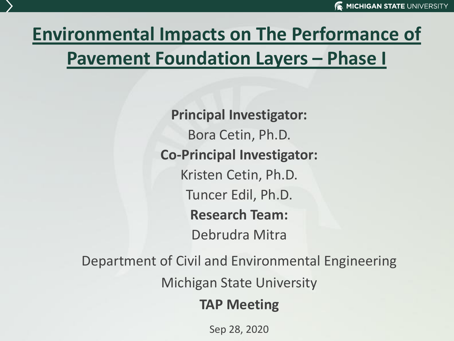# **Environmental Impacts on The Performance of Pavement Foundation Layers – Phase I**

**Principal Investigator:** Bora Cetin, Ph.D. **Co-Principal Investigator:** Kristen Cetin, Ph.D. Tuncer Edil, Ph.D. **Research Team:** Debrudra Mitra

Department of Civil and Environmental Engineering

Michigan State University

#### **TAP Meeting**

Sep 28, 2020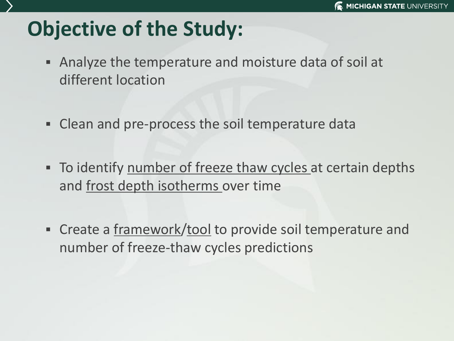# **Objective of the Study:**

- Analyze the temperature and moisture data of soil at different location
- **EXECTE 10 Inc.** The soil temperature data
- **EXTE TO identify number of freeze thaw cycles at certain depths** and frost depth isotherms over time
- **EXECTE:** Create a framework/tool to provide soil temperature and number of freeze-thaw cycles predictions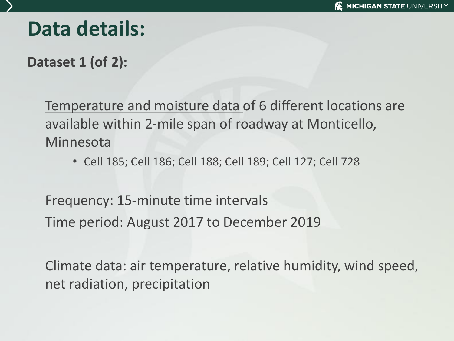# **Data details:**

**Dataset 1 (of 2):**

Temperature and moisture data of 6 different locations are available within 2-mile span of roadway at Monticello, Minnesota

• Cell 185; Cell 186; Cell 188; Cell 189; Cell 127; Cell 728

Frequency: 15-minute time intervals Time period: August 2017 to December 2019

Climate data: air temperature, relative humidity, wind speed, net radiation, precipitation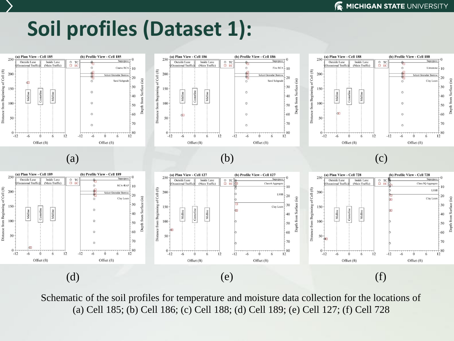# **Soil profiles (Dataset 1):**



Schematic of the soil profiles for temperature and moisture data collection for the locations of (a) Cell 185; (b) Cell 186; (c) Cell 188; (d) Cell 189; (e) Cell 127; (f) Cell 728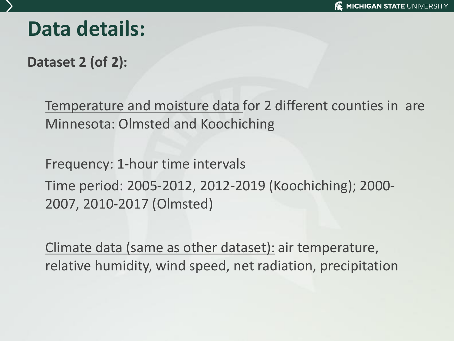## **Data details:**

**Dataset 2 (of 2):**

Temperature and moisture data for 2 different counties in are Minnesota: Olmsted and Koochiching

Frequency: 1-hour time intervals Time period: 2005-2012, 2012-2019 (Koochiching); 2000- 2007, 2010-2017 (Olmsted)

Climate data (same as other dataset): air temperature, relative humidity, wind speed, net radiation, precipitation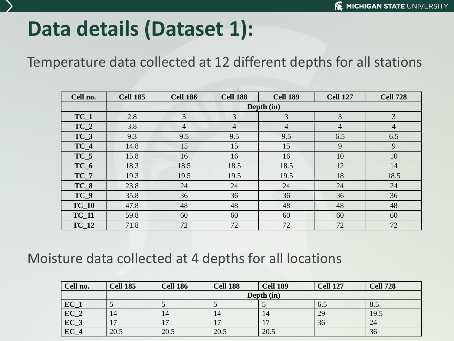# **Data details (Dataset 1):**

Temperature data collected at 12 different depths for all stations

| Cell no. | <b>Cell 185</b> | <b>Cell 186</b> | <b>Cell 188</b> | <b>Cell 189</b> | <b>Cell 127</b> | <b>Cell 728</b> |  |  |  |  |  |  |  |
|----------|-----------------|-----------------|-----------------|-----------------|-----------------|-----------------|--|--|--|--|--|--|--|
|          | Depth (in)      |                 |                 |                 |                 |                 |  |  |  |  |  |  |  |
| $TC_1$   | 2.8             | 3               | 3               | 3               | 3               | 3               |  |  |  |  |  |  |  |
| $TC_2$   | 3.8             | 4               | $\overline{4}$  | $\overline{4}$  | 4               | $\overline{4}$  |  |  |  |  |  |  |  |
| $TC_3$   | 9.3             | 9.5             | 9.5             | 9.5             | 6.5             | 6.5             |  |  |  |  |  |  |  |
| $TC_4$   | 14.8            | 15              | 15              | 15              | 9               | 9               |  |  |  |  |  |  |  |
| $TC_5$   | 15.8            | 16              | 16              | 16              | 10              | 10              |  |  |  |  |  |  |  |
| $TC_6$   | 18.3            | 18.5            | 18.5            | 18.5            | 12              | 14              |  |  |  |  |  |  |  |
| $TC_7$   | 19.3            | 19.5            | 19.5            | 19.5            | 18              | 18.5            |  |  |  |  |  |  |  |
| $TC_8$   | 23.8            | 24              | 24              | 24              | 24              | 24              |  |  |  |  |  |  |  |
| $TC_9$   | 35.8            | 36              | 36              | 36              | 36              | 36              |  |  |  |  |  |  |  |
| $TC_10$  | 47.8            | 48              | 48              | 48              | 48              | 48              |  |  |  |  |  |  |  |
| $TC_11$  | 59.8            | 60              | 60              | 60              | 60              | 60              |  |  |  |  |  |  |  |
| $TC_12$  | 71.8            | 72              | 72              | 72              | 72              | 72              |  |  |  |  |  |  |  |

#### Moisture data collected at 4 depths for all locations

| Cell no.          | <b>Cell 185</b> | <b>Cell 186</b> | <b>Cell 188</b> | <b>Cell 189</b> | <b>Cell 127</b> | <b>Cell 728</b> |  |  |  |  |  |  |
|-------------------|-----------------|-----------------|-----------------|-----------------|-----------------|-----------------|--|--|--|--|--|--|
|                   | Depth (in)      |                 |                 |                 |                 |                 |  |  |  |  |  |  |
| $EC_1$            |                 |                 |                 |                 | 6.5             | 8.5             |  |  |  |  |  |  |
| $\overline{EC_2}$ | 14              | 14              | 14              | 14              | 29              | 19.5            |  |  |  |  |  |  |
| $EC_3$            | רו              | $\overline{ }$  | 17              | 17              | 36              | 24              |  |  |  |  |  |  |
| $EC_4$            | 20.5            | 20.5            | 20.5            | 20.5            |                 | 36              |  |  |  |  |  |  |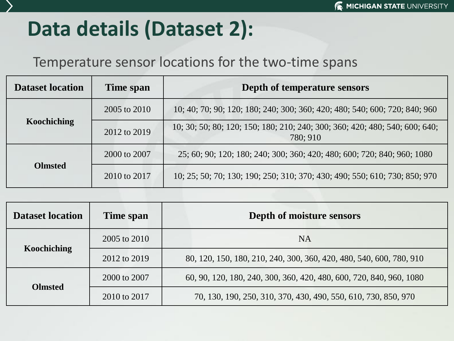# **Data details (Dataset 2):**

#### Temperature sensor locations for the two-time spans

| <b>Dataset location</b> | Time span    | Depth of temperature sensors                                                            |  |  |  |  |  |
|-------------------------|--------------|-----------------------------------------------------------------------------------------|--|--|--|--|--|
|                         | 2005 to 2010 | 10; 40; 70; 90; 120; 180; 240; 300; 360; 420; 480; 540; 600; 720; 840; 960              |  |  |  |  |  |
| Koochiching             | 2012 to 2019 | 10; 30; 50; 80; 120; 150; 180; 210; 240; 300; 360; 420; 480; 540; 600; 640;<br>780; 910 |  |  |  |  |  |
|                         | 2000 to 2007 | 25; 60; 90; 120; 180; 240; 300; 360; 420; 480; 600; 720; 840; 960; 1080                 |  |  |  |  |  |
| <b>Olmsted</b>          | 2010 to 2017 | 10; 25; 50; 70; 130; 190; 250; 310; 370; 430; 490; 550; 610; 730; 850; 970              |  |  |  |  |  |

| <b>Dataset location</b> | Time span    | Depth of moisture sensors                                           |
|-------------------------|--------------|---------------------------------------------------------------------|
|                         | 2005 to 2010 | <b>NA</b>                                                           |
| Koochiching             | 2012 to 2019 | 80, 120, 150, 180, 210, 240, 300, 360, 420, 480, 540, 600, 780, 910 |
|                         | 2000 to 2007 | 60, 90, 120, 180, 240, 300, 360, 420, 480, 600, 720, 840, 960, 1080 |
| <b>Olmsted</b>          | 2010 to 2017 | 70, 130, 190, 250, 310, 370, 430, 490, 550, 610, 730, 850, 970      |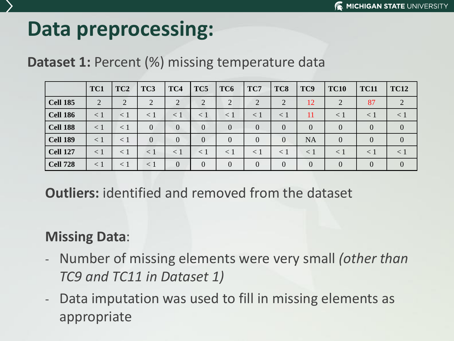# **Data preprocessing:**

#### **Dataset 1: Percent (%) missing temperature data**

|                 | TC1            | TC <sub>2</sub> | TC <sub>3</sub> | TC4            | TC5            | TC <sub>6</sub> | TC7            | TC8            | TC9            | <b>TC10</b>    | <b>TC11</b>    | <b>TC12</b>    |
|-----------------|----------------|-----------------|-----------------|----------------|----------------|-----------------|----------------|----------------|----------------|----------------|----------------|----------------|
| <b>Cell 185</b> | $\overline{2}$ | $\overline{2}$  | $\overline{2}$  | $\bigcirc$     | 2              | $\overline{2}$  | $\overline{2}$ | $\overline{2}$ | 12             | റ              | 87             | $\overline{2}$ |
| <b>Cell 186</b> | $\leq 1$       | $\leq 1$        | $\leq 1$        | $\leq 1$       | $\leq 1$       | $\leq$ 1        | $\leq$ 1       | $\leq 1$       | 11             | $\leq 1$       | $\leq 1$       | < 1            |
| <b>Cell 188</b> | < 1            | $\leq 1$        | $\overline{0}$  | $\theta$       | $\overline{0}$ | $\overline{0}$  | $\overline{0}$ | $\overline{0}$ | $\overline{0}$ | $\overline{0}$ | $\theta$       | $\mathbf{0}$   |
| <b>Cell 189</b> | < 1            | < 1             | $\Omega$        | $\overline{0}$ | $\theta$       | $\overline{0}$  | $\theta$       | $\overline{0}$ | <b>NA</b>      | $\overline{0}$ | $\Omega$       | $\overline{0}$ |
| <b>Cell 127</b> | $\leq 1$       | $\lt 1$         | $\leq 1$        | $\leq 1$       | $\leq 1$       | $\leq 1$        | $\leq$ 1       | $\lt 1$        | $\leq 1$       | $\leq 1$       | $\leq 1$       | $\leq 1$       |
| <b>Cell 728</b> | < 1            | $\leq 1$        | $\leq 1$        | $\overline{0}$ | $\theta$       | $\theta$        | $\overline{0}$ | $\overline{0}$ | $\theta$       | $\Omega$       | $\overline{0}$ | $\overline{0}$ |

**Outliers:** identified and removed from the dataset

#### **Missing Data**:

- Number of missing elements were very small *(other than TC9 and TC11 in Dataset 1)*
- Data imputation was used to fill in missing elements as appropriate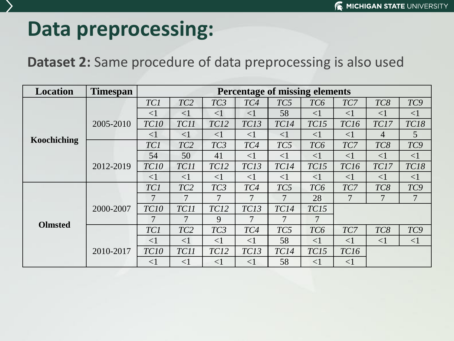## **Data preprocessing:**

#### **Dataset 2:** Same procedure of data preprocessing is also used

| <b>Location</b> | <b>Timespan</b> |             | <b>Percentage of missing elements</b><br>TC9<br>TC <sub>2</sub><br>TC <sub>3</sub><br>TC5<br>TC <sub>6</sub><br>TC7<br>TC8<br>TC4<br>58<br>$\leq$ 1<br>$\leq$ 1<br><1<br>$\leq$ 1<br>$\leq$ 1<br>$\leq$ 1<br>$\leq$ 1<br>TC15<br><b>TC16</b><br><b>TC18</b><br>TC11<br>TC12<br>TC13<br><b>TC14</b><br>TC17<br>$\overline{5}$<br>$\leq$ 1<br>$\leq$ 1<br>$\leq$ 1<br><1<br>$\leq$ 1<br>$\leq$ 1<br>$\overline{4}$<br>TC9<br>TC <sub>2</sub><br>TC <sub>3</sub><br>TC5<br>TC <sub>6</sub><br>TC7<br>TC4<br>TC8<br>50<br>41<br>$\leq$ 1<br>$\leq$ 1<br>$\leq$ 1<br>$\leq$ 1<br>$\leq$ 1<br>$\leq$ 1<br>TC12<br>TC13<br>TC15<br><b>TC18</b><br>TC11<br>TC14<br>TC16<br>TC17<br>$\leq$ 1<br>$\leq$ 1<br>$\leq$ 1<br>$\leq$ 1<br>$\leq$ 1<br>$\leq$ 1<br>$\leq$ 1<br>$\leq$ 1<br>TC <sub>2</sub><br>TC <sub>3</sub><br>TC5<br>TC <sub>6</sub><br>TC7<br>TC8<br>TC9<br>TC4<br>$\overline{7}$<br>7<br>28<br>7<br>7<br>7<br>7<br>7 |          |          |             |                 |             |          |          |  |  |  |  |  |
|-----------------|-----------------|-------------|---------------------------------------------------------------------------------------------------------------------------------------------------------------------------------------------------------------------------------------------------------------------------------------------------------------------------------------------------------------------------------------------------------------------------------------------------------------------------------------------------------------------------------------------------------------------------------------------------------------------------------------------------------------------------------------------------------------------------------------------------------------------------------------------------------------------------------------------------------------------------------------------------------------------------|----------|----------|-------------|-----------------|-------------|----------|----------|--|--|--|--|--|
|                 |                 | TC1         |                                                                                                                                                                                                                                                                                                                                                                                                                                                                                                                                                                                                                                                                                                                                                                                                                                                                                                                           |          |          |             |                 |             |          |          |  |  |  |  |  |
| Koochiching     |                 | $\leq$ 1    |                                                                                                                                                                                                                                                                                                                                                                                                                                                                                                                                                                                                                                                                                                                                                                                                                                                                                                                           |          |          |             |                 |             |          |          |  |  |  |  |  |
|                 | 2005-2010       | <b>TC10</b> |                                                                                                                                                                                                                                                                                                                                                                                                                                                                                                                                                                                                                                                                                                                                                                                                                                                                                                                           |          |          |             |                 |             |          |          |  |  |  |  |  |
|                 |                 | $<$ 1       |                                                                                                                                                                                                                                                                                                                                                                                                                                                                                                                                                                                                                                                                                                                                                                                                                                                                                                                           |          |          |             |                 |             |          |          |  |  |  |  |  |
|                 |                 | TC1         |                                                                                                                                                                                                                                                                                                                                                                                                                                                                                                                                                                                                                                                                                                                                                                                                                                                                                                                           |          |          |             |                 |             |          |          |  |  |  |  |  |
|                 |                 | 54          |                                                                                                                                                                                                                                                                                                                                                                                                                                                                                                                                                                                                                                                                                                                                                                                                                                                                                                                           |          |          |             |                 |             |          |          |  |  |  |  |  |
|                 | 2012-2019       | TC10        |                                                                                                                                                                                                                                                                                                                                                                                                                                                                                                                                                                                                                                                                                                                                                                                                                                                                                                                           |          |          |             |                 |             |          |          |  |  |  |  |  |
|                 |                 | $\leq$ 1    |                                                                                                                                                                                                                                                                                                                                                                                                                                                                                                                                                                                                                                                                                                                                                                                                                                                                                                                           |          |          |             |                 |             |          |          |  |  |  |  |  |
|                 |                 | TC1         |                                                                                                                                                                                                                                                                                                                                                                                                                                                                                                                                                                                                                                                                                                                                                                                                                                                                                                                           |          |          |             |                 |             |          |          |  |  |  |  |  |
|                 |                 | 7           |                                                                                                                                                                                                                                                                                                                                                                                                                                                                                                                                                                                                                                                                                                                                                                                                                                                                                                                           |          |          |             |                 |             |          |          |  |  |  |  |  |
|                 | 2000-2007       | TC10        | TC11                                                                                                                                                                                                                                                                                                                                                                                                                                                                                                                                                                                                                                                                                                                                                                                                                                                                                                                      | TC12     | TC13     | <b>TC14</b> | TC15            |             |          |          |  |  |  |  |  |
|                 |                 |             |                                                                                                                                                                                                                                                                                                                                                                                                                                                                                                                                                                                                                                                                                                                                                                                                                                                                                                                           | 9        | 7        | 7           | 7               |             |          |          |  |  |  |  |  |
| <b>Olmsted</b>  |                 | TC1         | TC <sub>2</sub>                                                                                                                                                                                                                                                                                                                                                                                                                                                                                                                                                                                                                                                                                                                                                                                                                                                                                                           | TC3      | TC4      | TC5         | TC <sub>6</sub> | TC7         | TC8      | TC9      |  |  |  |  |  |
|                 |                 | $\leq$ 1    | $\leq$ 1                                                                                                                                                                                                                                                                                                                                                                                                                                                                                                                                                                                                                                                                                                                                                                                                                                                                                                                  | $\leq$ 1 | $\leq$ 1 | 58          | $\leq$ 1        | $\leq$ 1    | $\leq$ 1 | $\leq$ 1 |  |  |  |  |  |
|                 | 2010-2017       | TC10        | TC11                                                                                                                                                                                                                                                                                                                                                                                                                                                                                                                                                                                                                                                                                                                                                                                                                                                                                                                      | TC12     | TC13     | <b>TC14</b> | TC15            | <b>TC16</b> |          |          |  |  |  |  |  |
|                 |                 | $\leq$ 1    | $\leq$ 1                                                                                                                                                                                                                                                                                                                                                                                                                                                                                                                                                                                                                                                                                                                                                                                                                                                                                                                  | $\leq$ 1 | $\leq$ 1 | 58          | $\leq$ 1        | $\leq$ 1    |          |          |  |  |  |  |  |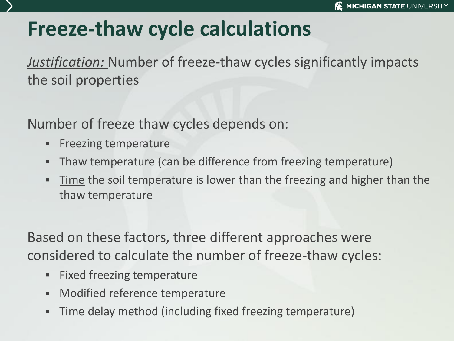# **Freeze-thaw cycle calculations**

*Justification:* Number of freeze-thaw cycles significantly impacts the soil properties

Number of freeze thaw cycles depends on:

- **Executing temperature**
- Thaw temperature (can be difference from freezing temperature)
- Time the soil temperature is lower than the freezing and higher than the thaw temperature

Based on these factors, three different approaches were considered to calculate the number of freeze-thaw cycles:

- Fixed freezing temperature
- Modified reference temperature
- **Time delay method (including fixed freezing temperature)**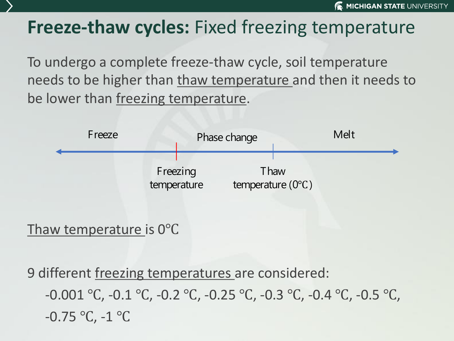### **Freeze-thaw cycles:** Fixed freezing temperature

To undergo a complete freeze-thaw cycle, soil temperature needs to be higher than thaw temperature and then it needs to be lower than freezing temperature.



Thaw temperature is 0℃

9 different freezing temperatures are considered: -0.001 ℃, -0.1 ℃, -0.2 ℃, -0.25 ℃, -0.3 ℃, -0.4 ℃, -0.5 ℃, -0.75 ℃, -1 ℃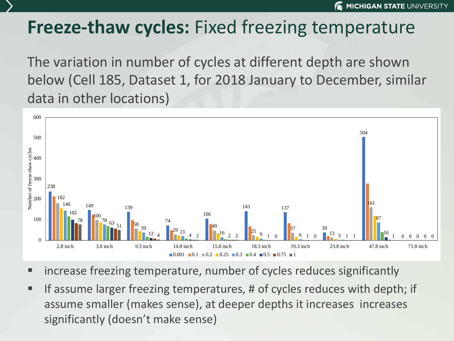### **Freeze-thaw cycles:** Fixed freezing temperature

The variation in number of cycles at different depth are shown below (Cell 185, Dataset 1, for 2018 January to December, similar data in other locations)



- increase freezing temperature, number of cycles reduces significantly
- **EXTE:** If assume larger freezing temperatures, # of cycles reduces with depth; if assume smaller (makes sense), at deeper depths it increases increases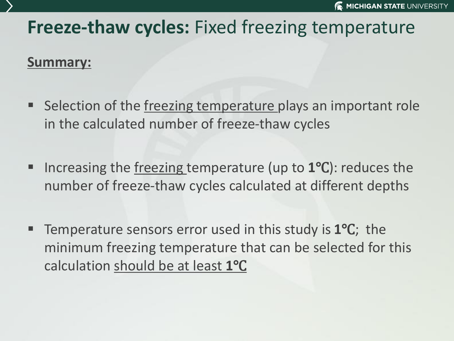### **Freeze-thaw cycles:** Fixed freezing temperature

#### **Summary:**

- Selection of the freezing temperature plays an important role in the calculated number of freeze-thaw cycles
- Increasing the freezing temperature (up to 1<sup>o</sup>C): reduces the number of freeze-thaw cycles calculated at different depths
- Temperature sensors error used in this study is **1°C**; the minimum freezing temperature that can be selected for this calculation should be at least **1**℃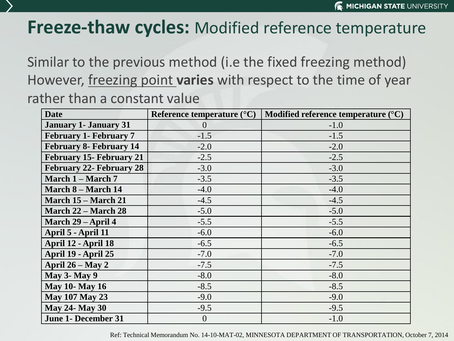### **Freeze-thaw cycles:** Modified reference temperature

Similar to the previous method (i.e the fixed freezing method) However, freezing point **varies** with respect to the time of year rather than a constant value

| <b>Date</b>                     | Reference temperature $({}^{\circ}C)$ | Modified reference temperature $(^{\circ}C)$ |
|---------------------------------|---------------------------------------|----------------------------------------------|
| <b>January 1- January 31</b>    | $\theta$                              | $-1.0$                                       |
| <b>February 1- February 7</b>   | $-1.5$                                | $-1.5$                                       |
| <b>February 8- February 14</b>  | $-2.0$                                | $-2.0$                                       |
| <b>February 15- February 21</b> | $-2.5$                                | $-2.5$                                       |
| <b>February 22- February 28</b> | $-3.0$                                | $-3.0$                                       |
| March 1 – March 7               | $-3.5$                                | $-3.5$                                       |
| <b>March 8 – March 14</b>       | $-4.0$                                | $-4.0$                                       |
| March 15 – March 21             | $-4.5$                                | $-4.5$                                       |
| <b>March 22 – March 28</b>      | $-5.0$                                | $-5.0$                                       |
| March 29 – April 4              | $-5.5$                                | $-5.5$                                       |
| April 5 - April 11              | $-6.0$                                | $-6.0$                                       |
| April 12 - April 18             | $-6.5$                                | $-6.5$                                       |
| April 19 - April 25             | $-7.0$                                | $-7.0$                                       |
| April $26 - May 2$              | $-7.5$                                | $-7.5$                                       |
| <b>May 3- May 9</b>             | $-8.0$                                | $-8.0$                                       |
| <b>May 10- May 16</b>           | $-8.5$                                | $-8.5$                                       |
| <b>May 107 May 23</b>           | $-9.0$                                | $-9.0$                                       |
| <b>May 24- May 30</b>           | $-9.5$                                | $-9.5$                                       |
| <b>June 1- December 31</b>      | $\overline{0}$                        | $-1.0$                                       |

Ref: Technical Memorandum No. 14-10-MAT-02, MINNESOTA DEPARTMENT OF TRANSPORTATION, October 7, 2014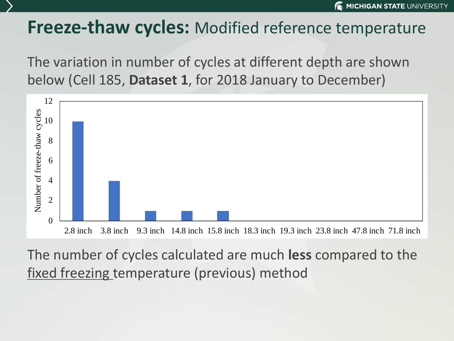### **Freeze-thaw cycles:** Modified reference temperature

The variation in number of cycles at different depth are shown below (Cell 185, **Dataset 1**, for 2018 January to December)



The number of cycles calculated are much **less** compared to the fixed freezing temperature (previous) method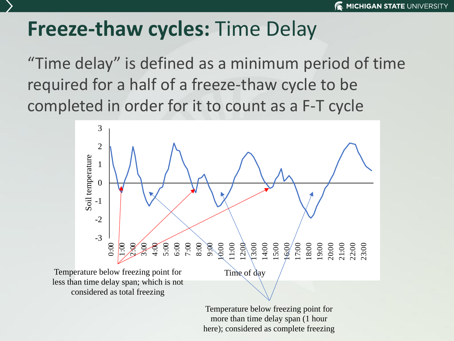## **Freeze-thaw cycles:** Time Delay

"Time delay" is defined as a minimum period of time required for a half of a freeze-thaw cycle to be completed in order for it to count as a F-T cycle



Temperature below freezing point for more than time delay span (1 hour here); considered as complete freezing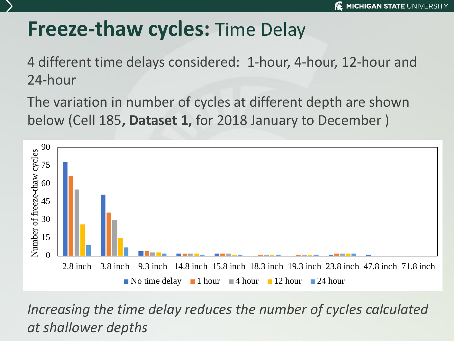## **Freeze-thaw cycles:** Time Delay

4 different time delays considered: 1-hour, 4-hour, 12-hour and 24-hour

The variation in number of cycles at different depth are shown below (Cell 185**, Dataset 1,** for 2018 January to December )



*Increasing the time delay reduces the number of cycles calculated*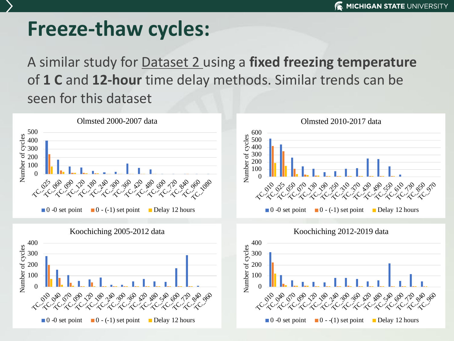## **Freeze-thaw cycles:**

A similar study for Dataset 2 using a **fixed freezing temperature**  of **1 C** and **12-hour** time delay methods. Similar trends can be seen for this dataset





Koochiching 2012-2019 data

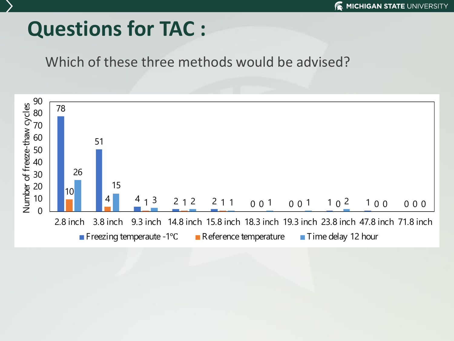# **Questions for TAC :**

#### Which of these three methods would be advised?

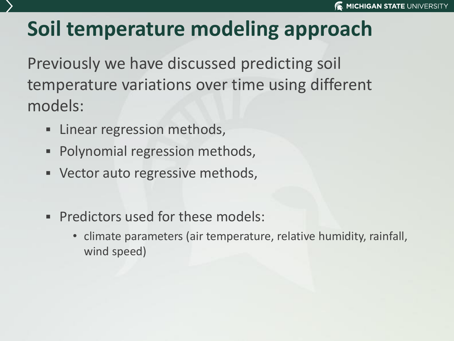# **Soil temperature modeling approach**

Previously we have discussed predicting soil temperature variations over time using different models:

- **EXEC** Linear regression methods,
- Polynomial regression methods,
- Vector auto regressive methods,
- **Predictors used for these models:** 
	- climate parameters (air temperature, relative humidity, rainfall, wind speed)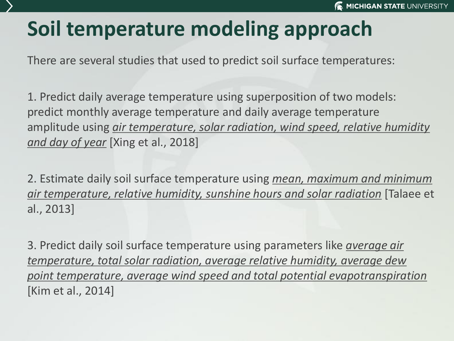# **Soil temperature modeling approach**

There are several studies that used to predict soil surface temperatures:

1. Predict daily average temperature using superposition of two models: predict monthly average temperature and daily average temperature amplitude using *air temperature, solar radiation, wind speed, relative humidity and day of year* [Xing et al., 2018]

2. Estimate daily soil surface temperature using *mean, maximum and minimum air temperature, relative humidity, sunshine hours and solar radiation* [Talaee et al., 2013]

3. Predict daily soil surface temperature using parameters like *average air temperature, total solar radiation, average relative humidity, average dew point temperature, average wind speed and total potential evapotranspiration* [Kim et al., 2014]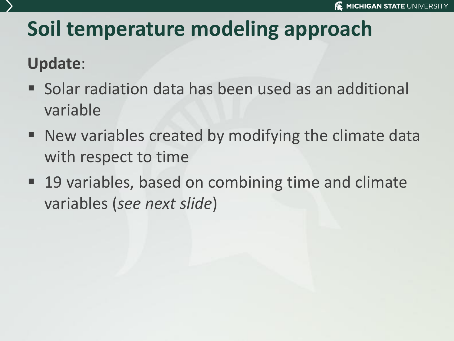# **Soil temperature modeling approach**

### **Update**:

- Solar radiation data has been used as an additional variable
- New variables created by modifying the climate data with respect to time
- 19 variables, based on combining time and climate variables (*see next slide*)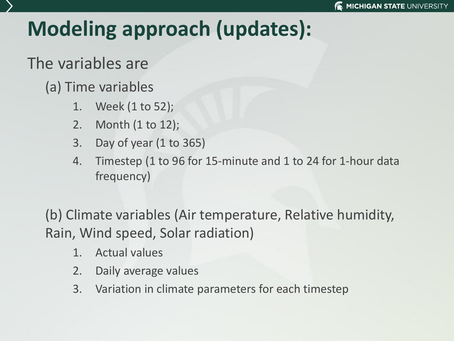# **Modeling approach (updates):**

### The variables are

### (a) Time variables

- 1. Week (1 to 52);
- 2. Month (1 to 12);
- 3. Day of year (1 to 365)
- 4. Timestep (1 to 96 for 15-minute and 1 to 24 for 1-hour data frequency)

(b) Climate variables (Air temperature, Relative humidity, Rain, Wind speed, Solar radiation)

- 1. Actual values
- 2. Daily average values
- 3. Variation in climate parameters for each timestep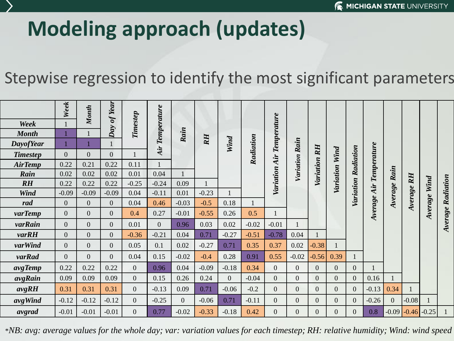# **Modeling approach (updates)**

### Stepwise regression to identify the most significant parameters

|                  | Week             | Month            | Day of Year      |                 | Temperature    |                |           |                |                  |                    |                |                |                  |                |             |                |                         |         |           |
|------------------|------------------|------------------|------------------|-----------------|----------------|----------------|-----------|----------------|------------------|--------------------|----------------|----------------|------------------|----------------|-------------|----------------|-------------------------|---------|-----------|
| Week             |                  |                  |                  |                 |                |                |           |                |                  |                    |                |                |                  |                |             |                |                         |         |           |
| <b>Month</b>     |                  |                  |                  | <b>Timestep</b> |                | Rain           |           |                |                  |                    |                |                |                  |                |             |                |                         |         |           |
| <b>DayofYear</b> |                  |                  |                  |                 |                |                | <b>RH</b> | Wind           | Radiation        | <b>Temperature</b> | Rain           |                |                  |                |             |                |                         |         |           |
| <b>Timestep</b>  | $\overline{0}$   | $\boldsymbol{0}$ | $\boldsymbol{0}$ |                 | Air            |                |           |                |                  |                    |                | <b>RH</b>      | Wind             | Radiation      |             |                |                         |         |           |
| <b>AirTemp</b>   | 0.22             | 0.21             | 0.22             | 0.11            |                |                |           |                | Air<br>Variation |                    | Variation      | Variation      |                  |                | Temperature | Rain           |                         |         |           |
| Rain             | 0.02             | 0.02             | 0.02             | 0.01            | 0.04           |                |           |                |                  |                    |                |                | Variation        |                |             |                |                         |         |           |
| $R$ $H$          | 0.22             | 0.22             | 0.22             | $-0.25$         | $-0.24$        | 0.09           |           |                |                  |                    |                |                |                  |                |             |                | $R$ $H$                 | Wind    | Radiation |
| <b>Wind</b>      | $-0.09$          | $-0.09$          | $-0.09$          | 0.04            | $-0.11$        | 0.01           | $-0.23$   |                |                  |                    |                |                |                  | Variation      | Air         |                |                         |         |           |
| rad              | $\overline{0}$   | $\boldsymbol{0}$ | $\overline{0}$   | 0.04            | 0.46           | $-0.03$        | $-0.5$    | 0.18           |                  |                    |                |                |                  |                | Average     | Average        | Average                 | Average | Average   |
| varTemp          | $\boldsymbol{0}$ | $\boldsymbol{0}$ | $\boldsymbol{0}$ | 0.4             | 0.27           | $-0.01$        | $-0.55$   | 0.26           | 0.5              |                    |                |                |                  |                |             |                |                         |         |           |
| varRain          | $\boldsymbol{0}$ | $\boldsymbol{0}$ | $\boldsymbol{0}$ | 0.01            | $\overline{0}$ | 0.96           | 0.03      | 0.02           | $-0.02$          | $-0.01$            |                |                |                  |                |             |                |                         |         |           |
| varRH            | $\overline{0}$   | $\overline{0}$   | $\overline{0}$   | $-0.36$         | $-0.21$        | 0.04           | 0.71      | $-0.27$        | $-0.51$          | $-0.78$            | 0.04           |                |                  |                |             |                |                         |         |           |
| varWind          | $\boldsymbol{0}$ | $\overline{0}$   | $\boldsymbol{0}$ | 0.05            | 0.1            | 0.02           | $-0.27$   | 0.71           | 0.35             | 0.37               | 0.02           | $-0.38$        |                  |                |             |                |                         |         |           |
| varRad           | $\overline{0}$   | $\boldsymbol{0}$ | $\boldsymbol{0}$ | 0.04            | 0.15           | $-0.02$        | $-0.4$    | 0.28           | 0.91             | 0.55               | $-0.02$        | $-0.56$        | 0.39             |                |             |                |                         |         |           |
| avgTemp          | 0.22             | 0.22             | 0.22             | $\overline{0}$  | 0.96           | 0.04           | $-0.09$   | $-0.18$        | 0.34             | $\overline{0}$     | $\overline{0}$ | $\overline{0}$ | $\theta$         | $\overline{0}$ |             |                |                         |         |           |
| avgRain          | 0.09             | 0.09             | 0.09             | $\overline{0}$  | 0.15           | 0.26           | 0.24      | $\overline{0}$ | $-0.04$          | $\overline{0}$     | $\overline{0}$ | $\overline{0}$ | $\theta$         | $\overline{0}$ | 0.16        |                |                         |         |           |
| avgRH            | 0.31             | 0.31             | 0.31             | $\overline{0}$  | $-0.13$        | 0.09           | 0.71      | $-0.06$        | $-0.2$           | $\overline{0}$     | $\overline{0}$ | $\overline{0}$ | $\overline{0}$   | $\overline{0}$ | $-0.13$     | 0.34           |                         |         |           |
| avgWind          | $-0.12$          | $-0.12$          | $-0.12$          | $\overline{0}$  | $-0.25$        | $\overline{0}$ | $-0.06$   | 0.71           | $-0.11$          | $\overline{0}$     | $\overline{0}$ | $\overline{0}$ | $\mathbf{0}$     | $\overline{0}$ | $-0.26$     | $\overline{0}$ | $-0.08$                 |         |           |
| avgrad           | $-0.01$          | $-0.01$          | $-0.01$          | $\overline{0}$  | 0.77           | $-0.02$        | $-0.33$   | $-0.18$        | 0.42             | $\overline{0}$     | 0              | $\overline{0}$ | $\boldsymbol{0}$ | $\overline{0}$ | 0.8         |                | $-0.09$ $-0.46$ $-0.25$ |         |           |

\**NB: avg: average values for the whole day; var: variation values for each timestep; RH: relative humidity; Wind: wind speed*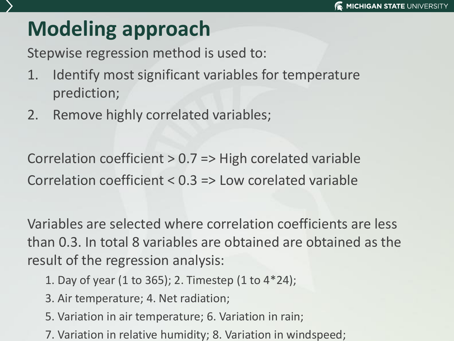# **Modeling approach**

Stepwise regression method is used to:

- 1. Identify most significant variables for temperature prediction;
- 2. Remove highly correlated variables;

Correlation coefficient > 0.7 => High corelated variable Correlation coefficient < 0.3 => Low corelated variable

Variables are selected where correlation coefficients are less than 0.3. In total 8 variables are obtained are obtained as the result of the regression analysis:

- 1. Day of year (1 to 365); 2. Timestep (1 to 4\*24);
- 3. Air temperature; 4. Net radiation;
- 5. Variation in air temperature; 6. Variation in rain;
- 7. Variation in relative humidity; 8. Variation in windspeed;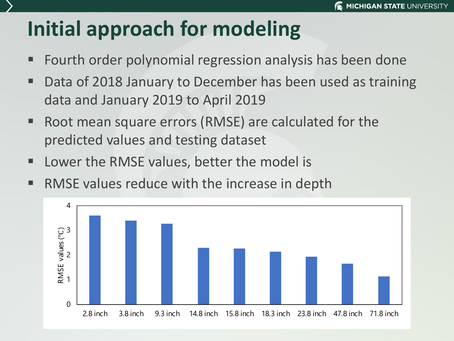# **Initial approach for modeling**

- Fourth order polynomial regression analysis has been done
- Data of 2018 January to December has been used as training data and January 2019 to April 2019
- Root mean square errors (RMSE) are calculated for the predicted values and testing dataset
- Lower the RMSE values, better the model is
- RMSE values reduce with the increase in depth

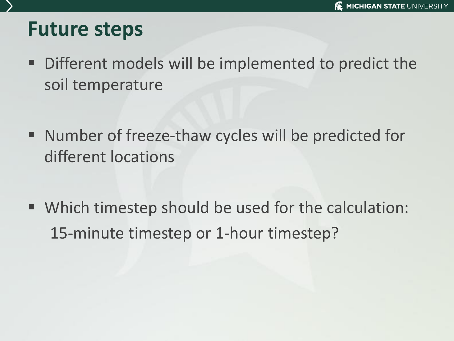### **Future steps**

- Different models will be implemented to predict the soil temperature
- Number of freeze-thaw cycles will be predicted for different locations
- Which timestep should be used for the calculation: 15-minute timestep or 1-hour timestep?